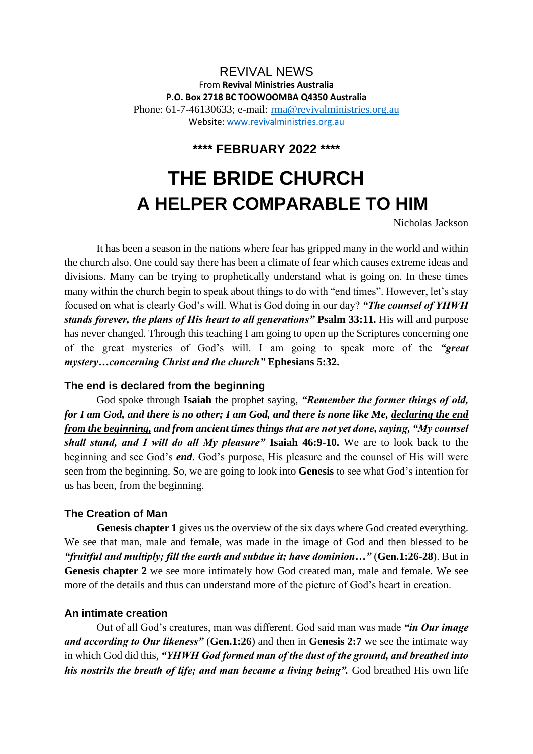# REVIVAL NEWS From **Revival Ministries Australia P.O. Box 2718 BC TOOWOOMBA Q4350 Australia** Phone: 61-7-46130633; e-mail: [rma@revivalministries.org.au](mailto:rma@revivalministries.org.au) Website: [www.revivalministries.org.au](https://nam12.safelinks.protection.outlook.com/?url=http%3A%2F%2Fwww.revivalministries.org.au%2F&data=04%7C01%7C%7C7a9ea9af8d4847f11aa608d9f74596e0%7C84df9e7fe9f640afb435aaaaaaaaaaaa%7C1%7C0%7C637812700542330519%7CUnknown%7CTWFpbGZsb3d8eyJWIjoiMC4wLjAwMDAiLCJQIjoiV2luMzIiLCJBTiI6Ik1haWwiLCJXVCI6Mn0%3D%7C3000&sdata=JvvwlCo6WP8zBi%2BC5WMkrYZ5mGnnE%2F1shITWN1Prk%2F8%3D&reserved=0)

**\*\*\*\* FEBRUARY 2022 \*\*\*\*** 

# **THE BRIDE CHURCH A HELPER COMPARABLE TO HIM**

Nicholas Jackson

It has been a season in the nations where fear has gripped many in the world and within the church also. One could say there has been a climate of fear which causes extreme ideas and divisions. Many can be trying to prophetically understand what is going on. In these times many within the church begin to speak about things to do with "end times". However, let's stay focused on what is clearly God's will. What is God doing in our day? *"The counsel of YHWH stands forever, the plans of His heart to all generations"* **Psalm 33:11.** His will and purpose has never changed. Through this teaching I am going to open up the Scriptures concerning one of the great mysteries of God's will. I am going to speak more of the *"great mystery…concerning Christ and the church"* **Ephesians 5:32.**

# **The end is declared from the beginning**

God spoke through **Isaiah** the prophet saying, *"Remember the former things of old, for I am God, and there is no other; I am God, and there is none like Me, declaring the end from the beginning, and from ancient times things that are not yet done, saying, "My counsel shall stand, and I will do all My pleasure"* **Isaiah 46:9-10.** We are to look back to the beginning and see God's *end*. God's purpose, His pleasure and the counsel of His will were seen from the beginning. So, we are going to look into **Genesis** to see what God's intention for us has been, from the beginning.

# **The Creation of Man**

Genesis chapter 1 gives us the overview of the six days where God created everything. We see that man, male and female, was made in the image of God and then blessed to be *"fruitful and multiply; fill the earth and subdue it; have dominion…"* (**Gen.1:26-28**). But in **Genesis chapter 2** we see more intimately how God created man, male and female. We see more of the details and thus can understand more of the picture of God's heart in creation.

# **An intimate creation**

Out of all God's creatures, man was different. God said man was made *"in Our image and according to Our likeness"* (**Gen.1:26**) and then in **Genesis 2:7** we see the intimate way in which God did this, *"YHWH God formed man of the dust of the ground, and breathed into his nostrils the breath of life; and man became a living being".* God breathed His own life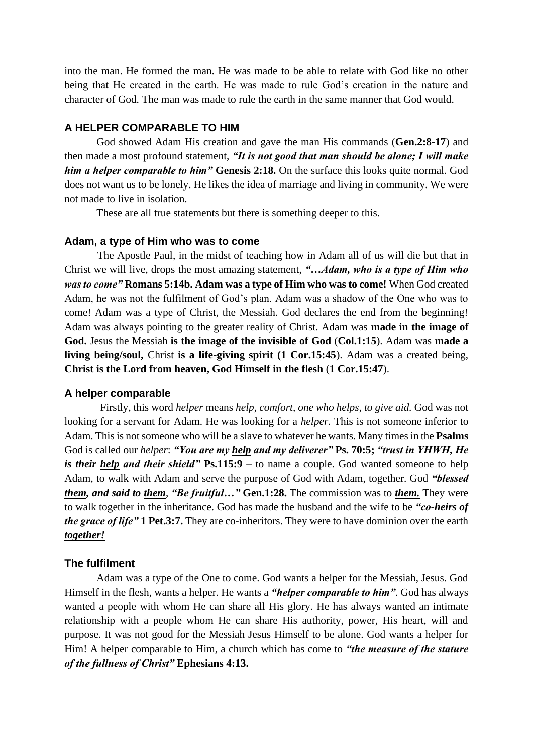into the man. He formed the man. He was made to be able to relate with God like no other being that He created in the earth. He was made to rule God's creation in the nature and character of God. The man was made to rule the earth in the same manner that God would.

## **A HELPER COMPARABLE TO HIM**

God showed Adam His creation and gave the man His commands (**Gen.2:8-17**) and then made a most profound statement, *"It is not good that man should be alone; I will make him a helper comparable to him*" Genesis 2:18. On the surface this looks quite normal. God does not want us to be lonely. He likes the idea of marriage and living in community. We were not made to live in isolation.

These are all true statements but there is something deeper to this.

#### **Adam, a type of Him who was to come**

 The Apostle Paul, in the midst of teaching how in Adam all of us will die but that in Christ we will live, drops the most amazing statement, *"…Adam, who is a type of Him who was to come"* **Romans 5:14b. Adam was a type of Him who was to come!** When God created Adam, he was not the fulfilment of God's plan. Adam was a shadow of the One who was to come! Adam was a type of Christ, the Messiah. God declares the end from the beginning! Adam was always pointing to the greater reality of Christ. Adam was **made in the image of God.** Jesus the Messiah **is the image of the invisible of God** (**Col.1:15**). Adam was **made a living being/soul,** Christ **is a life-giving spirit (1 Cor.15:45**). Adam was a created being, **Christ is the Lord from heaven, God Himself in the flesh** (**1 Cor.15:47**).

#### **A helper comparable**

Firstly, this word *helper* means *help, comfort, one who helps, to give aid.* God was not looking for a servant for Adam. He was looking for a *helper.* This is not someone inferior to Adam. This is not someone who will be a slave to whatever he wants. Many times in the **Psalms**  God is called our *helper*: *"You are my help and my deliverer"* **Ps. 70:5;** *"trust in YHWH, He is their help and their shield"* **Ps.115:9 –** to name a couple. God wanted someone to help Adam, to walk with Adam and serve the purpose of God with Adam, together. God *"blessed them, and said to them*, *"Be fruitful…"* **Gen.1:28.** The commission was to *them.* They were to walk together in the inheritance. God has made the husband and the wife to be *"co-heirs of the grace of life"* **1 Pet.3:7.** They are co-inheritors. They were to have dominion over the earth *together!*

#### **The fulfilment**

Adam was a type of the One to come. God wants a helper for the Messiah, Jesus. God Himself in the flesh, wants a helper. He wants a *"helper comparable to him"*. God has always wanted a people with whom He can share all His glory. He has always wanted an intimate relationship with a people whom He can share His authority, power, His heart, will and purpose. It was not good for the Messiah Jesus Himself to be alone. God wants a helper for Him! A helper comparable to Him, a church which has come to *"the measure of the stature of the fullness of Christ"* **Ephesians 4:13.**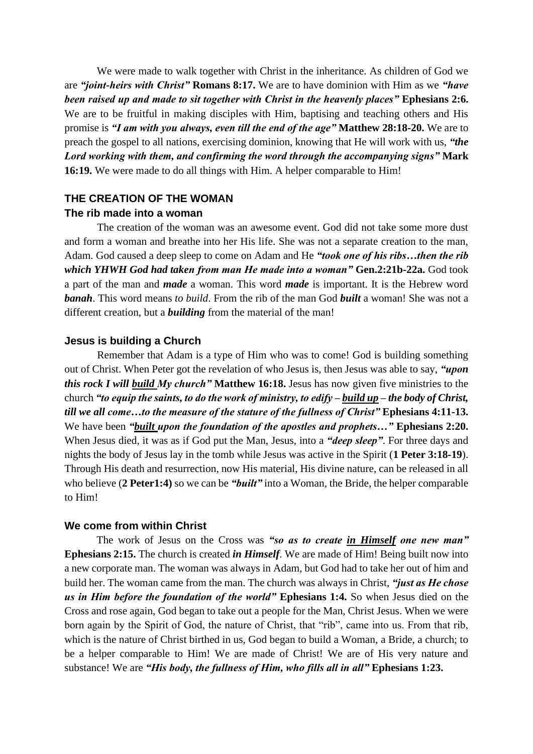We were made to walk together with Christ in the inheritance. As children of God we are *"joint-heirs with Christ"* **Romans 8:17.** We are to have dominion with Him as we *"have been raised up and made to sit together with Christ in the heavenly places"* **Ephesians 2:6.**  We are to be fruitful in making disciples with Him, baptising and teaching others and His promise is *"I am with you always, even till the end of the age"* **Matthew 28:18-20.** We are to preach the gospel to all nations, exercising dominion, knowing that He will work with us, *"the Lord working with them, and confirming the word through the accompanying signs"* **Mark 16:19.** We were made to do all things with Him. A helper comparable to Him!

# **THE CREATION OF THE WOMAN The rib made into a woman**

The creation of the woman was an awesome event. God did not take some more dust and form a woman and breathe into her His life. She was not a separate creation to the man, Adam. God caused a deep sleep to come on Adam and He *"took one of his ribs…then the rib which YHWH God had taken from man He made into a woman"* **Gen.2:21b-22a.** God took a part of the man and *made* a woman. This word *made* is important. It is the Hebrew word *banah*. This word means *to build*. From the rib of the man God *built* a woman! She was not a different creation, but a *building* from the material of the man!

# **Jesus is building a Church**

Remember that Adam is a type of Him who was to come! God is building something out of Christ. When Peter got the revelation of who Jesus is, then Jesus was able to say, *"upon this rock I will build My church"* **Matthew 16:18.** Jesus has now given five ministries to the church *"to equip the saints, to do the work of ministry, to edify – build up – the body of Christ, till we all come…to the measure of the stature of the fullness of Christ"* **Ephesians 4:11-13.**  We have been *"built upon the foundation of the apostles and prophets..."* **Ephesians 2:20.** When Jesus died, it was as if God put the Man, Jesus, into a *"deep sleep"*. For three days and nights the body of Jesus lay in the tomb while Jesus was active in the Spirit (**1 Peter 3:18-19**). Through His death and resurrection, now His material, His divine nature, can be released in all who believe (**2 Peter1:4)** so we can be *"built"* into a Woman, the Bride, the helper comparable to Him!

# **We come from within Christ**

The work of Jesus on the Cross was *"so as to create in Himself one new man"*  **Ephesians 2:15.** The church is created *in Himself*. We are made of Him! Being built now into a new corporate man. The woman was always in Adam, but God had to take her out of him and build her. The woman came from the man. The church was always in Christ, *"just as He chose us in Him before the foundation of the world"* **Ephesians 1:4.** So when Jesus died on the Cross and rose again, God began to take out a people for the Man, Christ Jesus. When we were born again by the Spirit of God, the nature of Christ, that "rib", came into us. From that rib, which is the nature of Christ birthed in us, God began to build a Woman, a Bride, a church; to be a helper comparable to Him! We are made of Christ! We are of His very nature and substance! We are *"His body, the fullness of Him, who fills all in all"* **Ephesians 1:23.**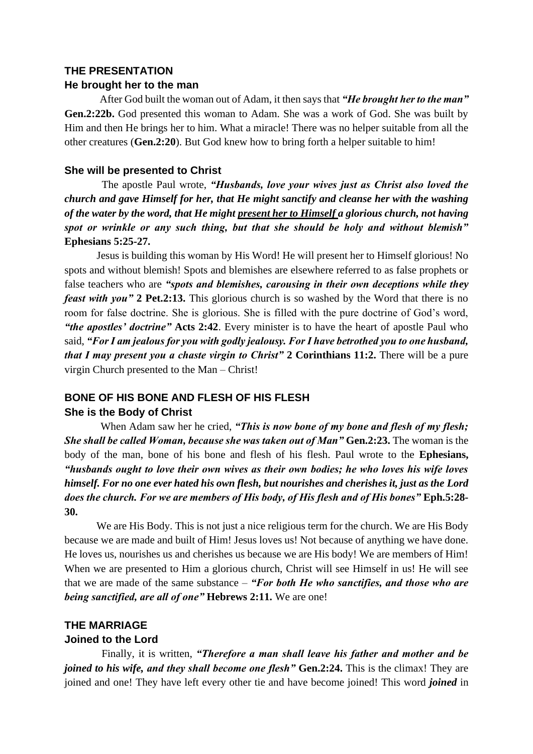#### **THE PRESENTATION**

#### **He brought her to the man**

After God built the woman out of Adam, it then says that *"He brought her to the man"*  **Gen.2:22b.** God presented this woman to Adam. She was a work of God. She was built by Him and then He brings her to him. What a miracle! There was no helper suitable from all the other creatures (**Gen.2:20**). But God knew how to bring forth a helper suitable to him!

#### **She will be presented to Christ**

The apostle Paul wrote, *"Husbands, love your wives just as Christ also loved the church and gave Himself for her, that He might sanctify and cleanse her with the washing of the water by the word, that He might present her to Himself a glorious church, not having spot or wrinkle or any such thing, but that she should be holy and without blemish"*  **Ephesians 5:25-27.** 

Jesus is building this woman by His Word! He will present her to Himself glorious! No spots and without blemish! Spots and blemishes are elsewhere referred to as false prophets or false teachers who are *"spots and blemishes, carousing in their own deceptions while they feast with you"* **2 Pet.2:13.** This glorious church is so washed by the Word that there is no room for false doctrine. She is glorious. She is filled with the pure doctrine of God's word, *"the apostles' doctrine"* **Acts 2:42**. Every minister is to have the heart of apostle Paul who said, *"For I am jealous for you with godly jealousy. For I have betrothed you to one husband, that I may present you a chaste virgin to Christ"* **2 Corinthians 11:2.** There will be a pure virgin Church presented to the Man – Christ!

# **BONE OF HIS BONE AND FLESH OF HIS FLESH She is the Body of Christ**

When Adam saw her he cried, *"This is now bone of my bone and flesh of my flesh; She shall be called Woman, because she was taken out of Man"* **Gen.2:23.** The woman is the body of the man, bone of his bone and flesh of his flesh. Paul wrote to the **Ephesians,**  *"husbands ought to love their own wives as their own bodies; he who loves his wife loves himself. For no one ever hated his own flesh, but nourishes and cherishes it, just as the Lord*  does the church. For we are members of His body, of His flesh and of His bones" Eph.5:28-**30.** 

We are His Body. This is not just a nice religious term for the church. We are His Body because we are made and built of Him! Jesus loves us! Not because of anything we have done. He loves us, nourishes us and cherishes us because we are His body! We are members of Him! When we are presented to Him a glorious church, Christ will see Himself in us! He will see that we are made of the same substance – *"For both He who sanctifies, and those who are being sanctified, are all of one"* **Hebrews 2:11.** We are one!

# **THE MARRIAGE**

# **Joined to the Lord**

Finally, it is written, *"Therefore a man shall leave his father and mother and be joined to his wife, and they shall become one flesh"* Gen.2:24. This is the climax! They are joined and one! They have left every other tie and have become joined! This word *joined* in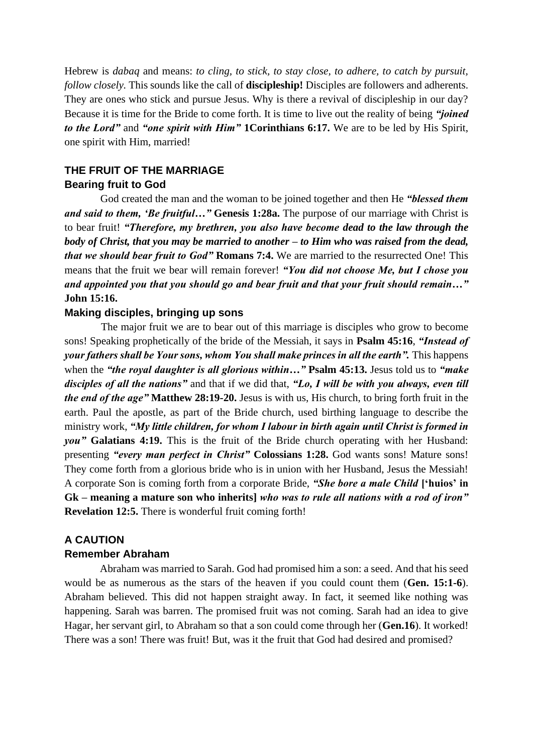Hebrew is *dabaq* and means: *to cling, to stick, to stay close, to adhere, to catch by pursuit, follow closely.* This sounds like the call of **discipleship!** Disciples are followers and adherents. They are ones who stick and pursue Jesus. Why is there a revival of discipleship in our day? Because it is time for the Bride to come forth. It is time to live out the reality of being *"joined to the Lord"* and *"one spirit with Him"* **1Corinthians 6:17.** We are to be led by His Spirit, one spirit with Him, married!

# **THE FRUIT OF THE MARRIAGE Bearing fruit to God**

God created the man and the woman to be joined together and then He *"blessed them and said to them, 'Be fruitful…"* **Genesis 1:28a.** The purpose of our marriage with Christ is to bear fruit! *"Therefore, my brethren, you also have become dead to the law through the body of Christ, that you may be married to another – to Him who was raised from the dead, that we should bear fruit to God"* **Romans 7:4.** We are married to the resurrected One! This means that the fruit we bear will remain forever! *"You did not choose Me, but I chose you and appointed you that you should go and bear fruit and that your fruit should remain…"*  **John 15:16.** 

# **Making disciples, bringing up sons**

The major fruit we are to bear out of this marriage is disciples who grow to become sons! Speaking prophetically of the bride of the Messiah, it says in **Psalm 45:16**, *"Instead of your fathers shall be Your sons, whom You shall make princes in all the earth".* This happens when the *"the royal daughter is all glorious within…"* **Psalm 45:13.** Jesus told us to *"make disciples of all the nations"* and that if we did that, *"Lo, I will be with you always, even till the end of the age"* **Matthew 28:19-20.** Jesus is with us, His church, to bring forth fruit in the earth. Paul the apostle, as part of the Bride church, used birthing language to describe the ministry work, *"My little children, for whom I labour in birth again until Christ is formed in you"* **Galatians 4:19.** This is the fruit of the Bride church operating with her Husband: presenting *"every man perfect in Christ"* **Colossians 1:28.** God wants sons! Mature sons! They come forth from a glorious bride who is in union with her Husband, Jesus the Messiah! A corporate Son is coming forth from a corporate Bride, *"She bore a male Child* **['huios' in Gk – meaning a mature son who inherits]** *who was to rule all nations with a rod of iron"*  **Revelation 12:5.** There is wonderful fruit coming forth!

# **A CAUTION**

# **Remember Abraham**

 Abraham was married to Sarah. God had promised him a son: a seed. And that his seed would be as numerous as the stars of the heaven if you could count them (**Gen. 15:1-6**). Abraham believed. This did not happen straight away. In fact, it seemed like nothing was happening. Sarah was barren. The promised fruit was not coming. Sarah had an idea to give Hagar, her servant girl, to Abraham so that a son could come through her (**Gen.16**). It worked! There was a son! There was fruit! But, was it the fruit that God had desired and promised?